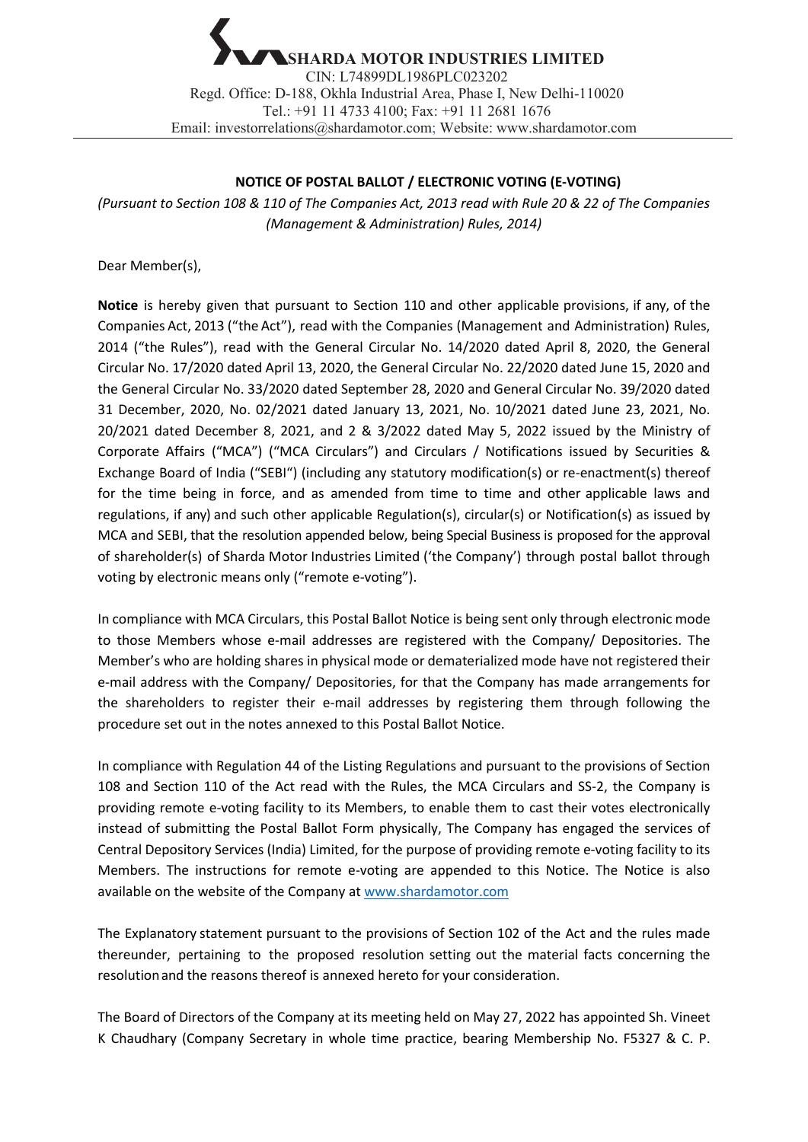## **NOTICE OF POSTAL BALLOT / ELECTRONIC VOTING (E-VOTING)**

*(Pursuant to Section 108 & 110 of The Companies Act, 2013 read with Rule 20 & 22 of The Companies (Management & Administration) Rules, 2014)*

Dear Member(s),

**Notice** is hereby given that pursuant to Section 110 and other applicable provisions, if any, of the Companies Act, 2013 ("the Act"), read with the Companies (Management and Administration) Rules, 2014 ("the Rules"), read with the General Circular No. 14/2020 dated April 8, 2020, the General Circular No. 17/2020 dated April 13, 2020, the General Circular No. 22/2020 dated June 15, 2020 and the General Circular No. 33/2020 dated September 28, 2020 and General Circular No. 39/2020 dated 31 December, 2020, No. 02/2021 dated January 13, 2021, No. 10/2021 dated June 23, 2021, No. 20/2021 dated December 8, 2021, and 2 & 3/2022 dated May 5, 2022 issued by the Ministry of Corporate Affairs ("MCA") ("MCA Circulars") and Circulars / Notifications issued by Securities & Exchange Board of India ("SEBI") (including any statutory modification(s) or re-enactment(s) thereof for the time being in force, and as amended from time to time and other applicable laws and regulations, if any) and such other applicable Regulation(s), circular(s) or Notification(s) as issued by MCA and SEBI, that the resolution appended below, being Special Business is proposed for the approval of shareholder(s) of Sharda Motor Industries Limited ('the Company') through postal ballot through voting by electronic means only ("remote e-voting").

In compliance with MCA Circulars, this Postal Ballot Notice is being sent only through electronic mode to those Members whose e-mail addresses are registered with the Company/ Depositories. The Member's who are holding shares in physical mode or dematerialized mode have not registered their e-mail address with the Company/ Depositories, for that the Company has made arrangements for the shareholders to register their e-mail addresses by registering them through following the procedure set out in the notes annexed to this Postal Ballot Notice.

In compliance with Regulation 44 of the Listing Regulations and pursuant to the provisions of Section 108 and Section 110 of the Act read with the Rules, the MCA Circulars and SS-2, the Company is providing remote e-voting facility to its Members, to enable them to cast their votes electronically instead of submitting the Postal Ballot Form physically, The Company has engaged the services of Central Depository Services (India) Limited, for the purpose of providing remote e-voting facility to its Members. The instructions for remote e-voting are appended to this Notice. The Notice is also available on the website of the Company at www.shardamotor.com

The Explanatory statement pursuant to the provisions of Section 102 of the Act and the rules made thereunder, pertaining to the proposed resolution setting out the material facts concerning the resolutionand the reasons thereof is annexed hereto for your consideration.

The Board of Directors of the Company at its meeting held on May 27, 2022 has appointed Sh. Vineet K Chaudhary (Company Secretary in whole time practice, bearing Membership No. F5327 & C. P.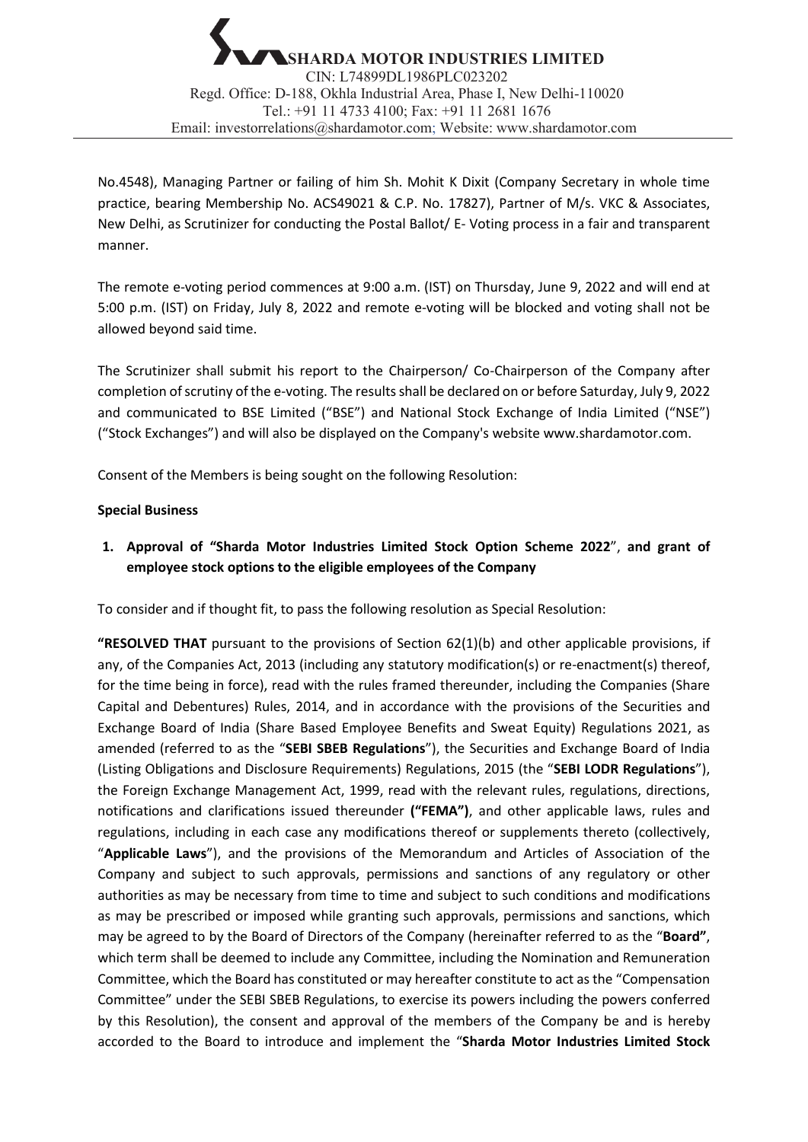No.4548), Managing Partner or failing of him Sh. Mohit K Dixit (Company Secretary in whole time practice, bearing Membership No. ACS49021 & C.P. No. 17827), Partner of M/s. VKC & Associates, New Delhi, as Scrutinizer for conducting the Postal Ballot/ E- Voting process in a fair and transparent manner.

The remote e-voting period commences at 9:00 a.m. (IST) on Thursday, June 9, 2022 and will end at 5:00 p.m. (IST) on Friday, July 8, 2022 and remote e-voting will be blocked and voting shall not be allowed beyond said time.

The Scrutinizer shall submit his report to the Chairperson/ Co-Chairperson of the Company after completion of scrutiny of the e-voting. The results shall be declared on or before Saturday, July 9, 2022 and communicated to BSE Limited ("BSE") and National Stock Exchange of India Limited ("NSE") ("Stock Exchanges") and will also be displayed on the Company's website www.shardamotor.com.

Consent of the Members is being sought on the following Resolution:

# **Special Business**

**1. Approval of "Sharda Motor Industries Limited Stock Option Scheme 2022**", **and grant of employee stock options to the eligible employees of the Company**

To consider and if thought fit, to pass the following resolution as Special Resolution:

**"RESOLVED THAT** pursuant to the provisions of Section 62(1)(b) and other applicable provisions, if any, of the Companies Act, 2013 (including any statutory modification(s) or re-enactment(s) thereof, for the time being in force), read with the rules framed thereunder, including the Companies (Share Capital and Debentures) Rules, 2014, and in accordance with the provisions of the Securities and Exchange Board of India (Share Based Employee Benefits and Sweat Equity) Regulations 2021, as amended (referred to as the "**SEBI SBEB Regulations**"), the Securities and Exchange Board of India (Listing Obligations and Disclosure Requirements) Regulations, 2015 (the "**SEBI LODR Regulations**"), the Foreign Exchange Management Act, 1999, read with the relevant rules, regulations, directions, notifications and clarifications issued thereunder **("FEMA")**, and other applicable laws, rules and regulations, including in each case any modifications thereof or supplements thereto (collectively, "**Applicable Laws**"), and the provisions of the Memorandum and Articles of Association of the Company and subject to such approvals, permissions and sanctions of any regulatory or other authorities as may be necessary from time to time and subject to such conditions and modifications as may be prescribed or imposed while granting such approvals, permissions and sanctions, which may be agreed to by the Board of Directors of the Company (hereinafter referred to as the "**Board"**, which term shall be deemed to include any Committee, including the Nomination and Remuneration Committee, which the Board has constituted or may hereafter constitute to act as the "Compensation Committee" under the SEBI SBEB Regulations, to exercise its powers including the powers conferred by this Resolution), the consent and approval of the members of the Company be and is hereby accorded to the Board to introduce and implement the "**Sharda Motor Industries Limited Stock**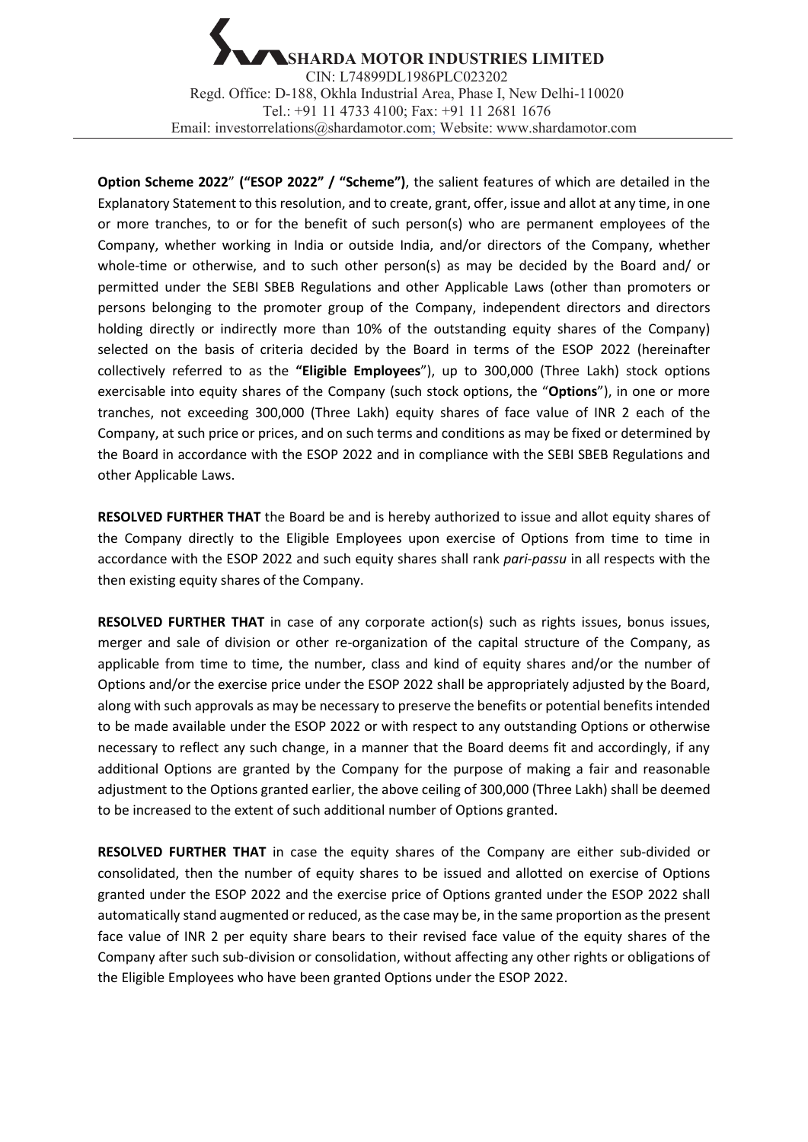**Option Scheme 2022**" **("ESOP 2022" / "Scheme")**, the salient features of which are detailed in the Explanatory Statement to this resolution, and to create, grant, offer, issue and allot at any time, in one or more tranches, to or for the benefit of such person(s) who are permanent employees of the Company, whether working in India or outside India, and/or directors of the Company, whether whole-time or otherwise, and to such other person(s) as may be decided by the Board and/ or permitted under the SEBI SBEB Regulations and other Applicable Laws (other than promoters or persons belonging to the promoter group of the Company, independent directors and directors holding directly or indirectly more than 10% of the outstanding equity shares of the Company) selected on the basis of criteria decided by the Board in terms of the ESOP 2022 (hereinafter collectively referred to as the **"Eligible Employees**"), up to 300,000 (Three Lakh) stock options exercisable into equity shares of the Company (such stock options, the "**Options**"), in one or more tranches, not exceeding 300,000 (Three Lakh) equity shares of face value of INR 2 each of the Company, at such price or prices, and on such terms and conditions as may be fixed or determined by the Board in accordance with the ESOP 2022 and in compliance with the SEBI SBEB Regulations and other Applicable Laws.

**RESOLVED FURTHER THAT** the Board be and is hereby authorized to issue and allot equity shares of the Company directly to the Eligible Employees upon exercise of Options from time to time in accordance with the ESOP 2022 and such equity shares shall rank *pari-passu* in all respects with the then existing equity shares of the Company.

**RESOLVED FURTHER THAT** in case of any corporate action(s) such as rights issues, bonus issues, merger and sale of division or other re-organization of the capital structure of the Company, as applicable from time to time, the number, class and kind of equity shares and/or the number of Options and/or the exercise price under the ESOP 2022 shall be appropriately adjusted by the Board, along with such approvals as may be necessary to preserve the benefits or potential benefits intended to be made available under the ESOP 2022 or with respect to any outstanding Options or otherwise necessary to reflect any such change, in a manner that the Board deems fit and accordingly, if any additional Options are granted by the Company for the purpose of making a fair and reasonable adjustment to the Options granted earlier, the above ceiling of 300,000 (Three Lakh) shall be deemed to be increased to the extent of such additional number of Options granted.

**RESOLVED FURTHER THAT** in case the equity shares of the Company are either sub-divided or consolidated, then the number of equity shares to be issued and allotted on exercise of Options granted under the ESOP 2022 and the exercise price of Options granted under the ESOP 2022 shall automatically stand augmented or reduced, as the case may be, in the same proportion as the present face value of INR 2 per equity share bears to their revised face value of the equity shares of the Company after such sub-division or consolidation, without affecting any other rights or obligations of the Eligible Employees who have been granted Options under the ESOP 2022.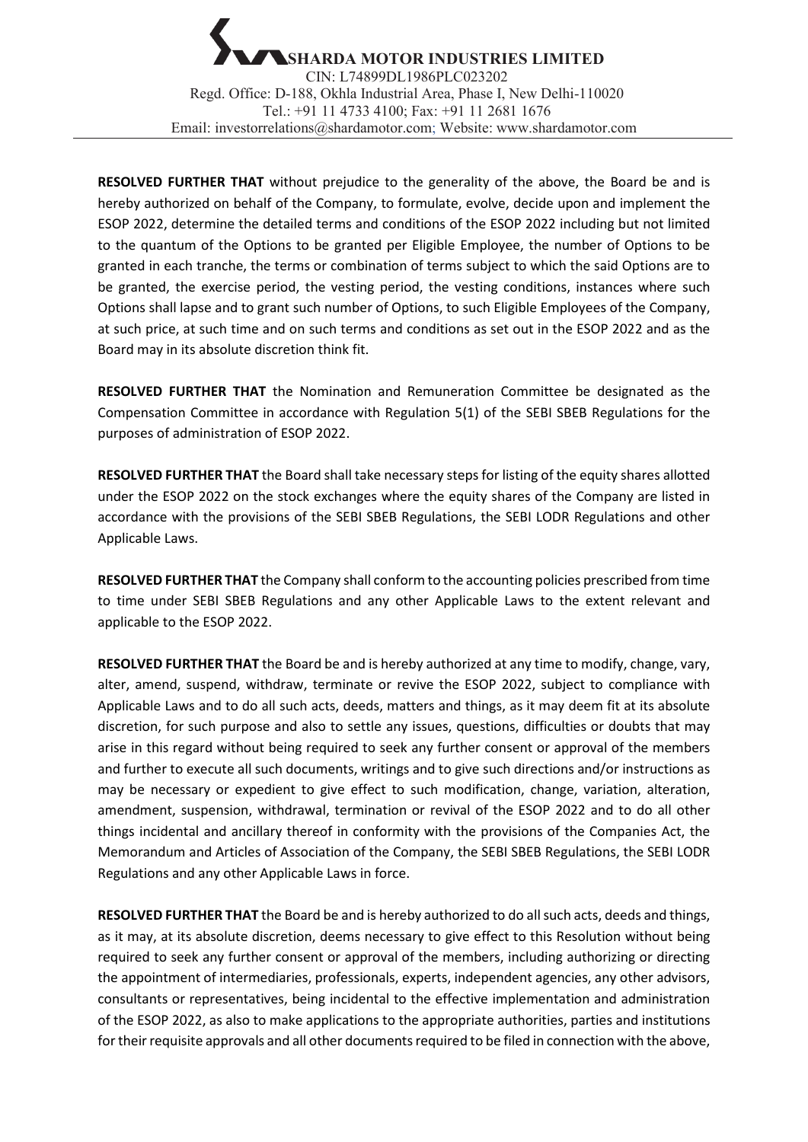**RESOLVED FURTHER THAT** without prejudice to the generality of the above, the Board be and is hereby authorized on behalf of the Company, to formulate, evolve, decide upon and implement the ESOP 2022, determine the detailed terms and conditions of the ESOP 2022 including but not limited to the quantum of the Options to be granted per Eligible Employee, the number of Options to be granted in each tranche, the terms or combination of terms subject to which the said Options are to be granted, the exercise period, the vesting period, the vesting conditions, instances where such Options shall lapse and to grant such number of Options, to such Eligible Employees of the Company, at such price, at such time and on such terms and conditions as set out in the ESOP 2022 and as the Board may in its absolute discretion think fit.

**RESOLVED FURTHER THAT** the Nomination and Remuneration Committee be designated as the Compensation Committee in accordance with Regulation 5(1) of the SEBI SBEB Regulations for the purposes of administration of ESOP 2022.

**RESOLVED FURTHER THAT** the Board shall take necessary steps for listing of the equity shares allotted under the ESOP 2022 on the stock exchanges where the equity shares of the Company are listed in accordance with the provisions of the SEBI SBEB Regulations, the SEBI LODR Regulations and other Applicable Laws.

**RESOLVED FURTHER THAT** the Company shall conform to the accounting policies prescribed from time to time under SEBI SBEB Regulations and any other Applicable Laws to the extent relevant and applicable to the ESOP 2022.

**RESOLVED FURTHER THAT** the Board be and is hereby authorized at any time to modify, change, vary, alter, amend, suspend, withdraw, terminate or revive the ESOP 2022, subject to compliance with Applicable Laws and to do all such acts, deeds, matters and things, as it may deem fit at its absolute discretion, for such purpose and also to settle any issues, questions, difficulties or doubts that may arise in this regard without being required to seek any further consent or approval of the members and further to execute all such documents, writings and to give such directions and/or instructions as may be necessary or expedient to give effect to such modification, change, variation, alteration, amendment, suspension, withdrawal, termination or revival of the ESOP 2022 and to do all other things incidental and ancillary thereof in conformity with the provisions of the Companies Act, the Memorandum and Articles of Association of the Company, the SEBI SBEB Regulations, the SEBI LODR Regulations and any other Applicable Laws in force.

**RESOLVED FURTHER THAT** the Board be and is hereby authorized to do all such acts, deeds and things, as it may, at its absolute discretion, deems necessary to give effect to this Resolution without being required to seek any further consent or approval of the members, including authorizing or directing the appointment of intermediaries, professionals, experts, independent agencies, any other advisors, consultants or representatives, being incidental to the effective implementation and administration of the ESOP 2022, as also to make applications to the appropriate authorities, parties and institutions for their requisite approvals and all other documents required to be filed in connection with the above,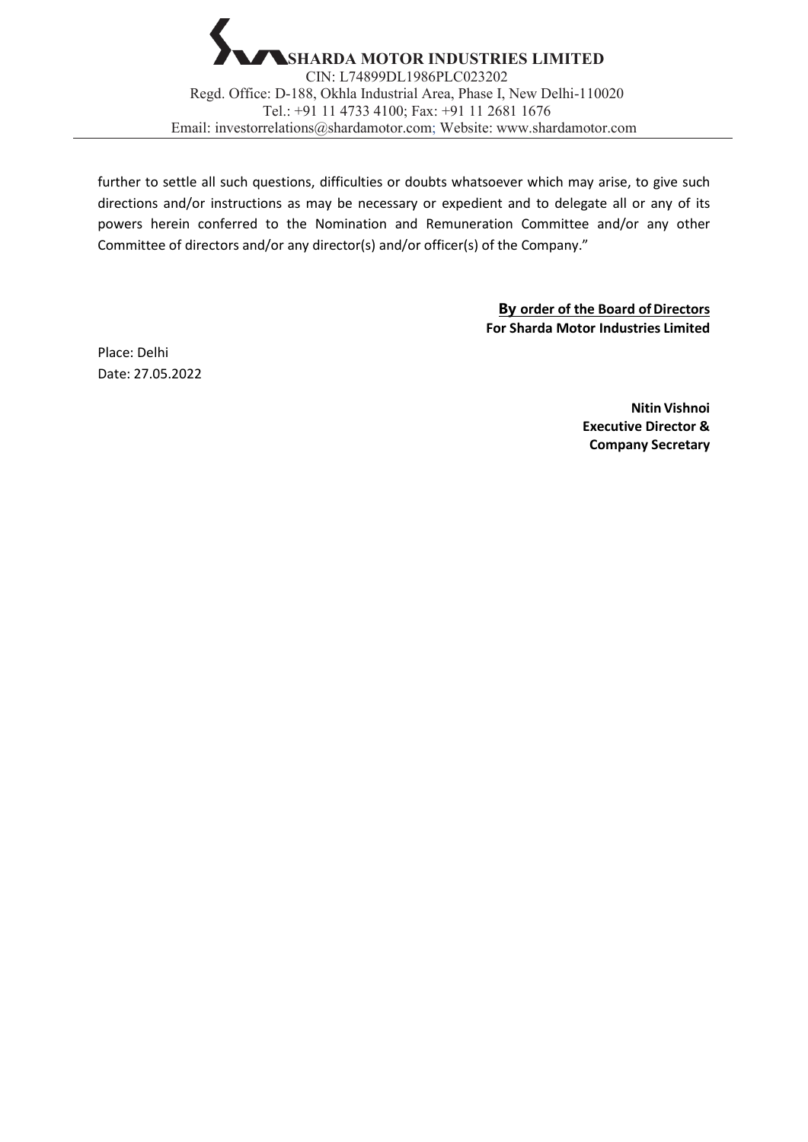

further to settle all such questions, difficulties or doubts whatsoever which may arise, to give such directions and/or instructions as may be necessary or expedient and to delegate all or any of its powers herein conferred to the Nomination and Remuneration Committee and/or any other Committee of directors and/or any director(s) and/or officer(s) of the Company."

> **By order of the Board of Directors For Sharda Motor Industries Limited**

Place: Delhi Date: 27.05.2022

> **Nitin Vishnoi Executive Director & Company Secretary**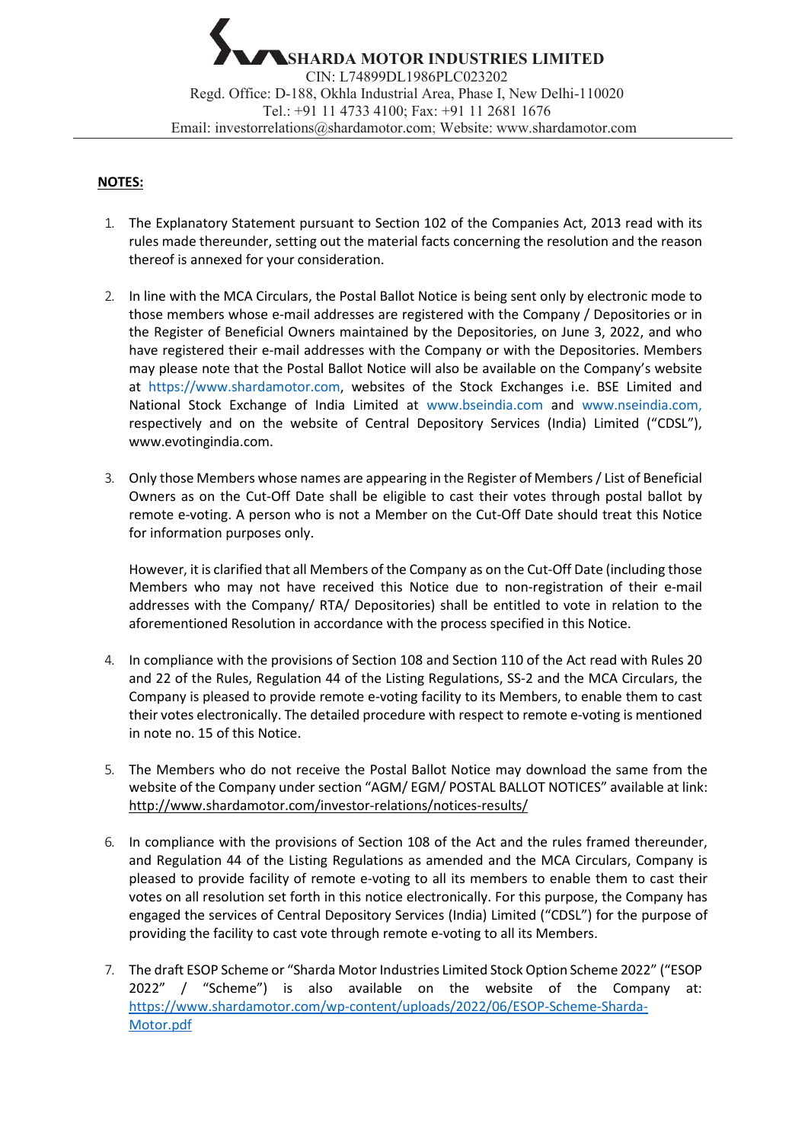### **NOTES:**

- 1. The Explanatory Statement pursuant to Section 102 of the Companies Act, 2013 read with its rules made thereunder, setting out the material facts concerning the resolution and the reason thereof is annexed for your consideration.
- 2. In line with the MCA Circulars, the Postal Ballot Notice is being sent only by electronic mode to those members whose e-mail addresses are registered with the Company / Depositories or in the Register of Beneficial Owners maintained by the Depositories, on June 3, 2022, and who have registered their e-mail addresses with the Company or with the Depositories. Members may please note that the Postal Ballot Notice will also be available on the Company's website at https://www.shardamotor.com, websites of the Stock Exchanges i.e. BSE Limited and National Stock Exchange of India Limited at www.bseindia.com and www.nseindia.com, respectively and on the website of Central Depository Services (India) Limited ("CDSL")[,](http://www.evotingindia.com/) [www.evotingindia.com.](http://www.evotingindia.com/)
- 3. Only those Members whose names are appearing in the Register of Members / List of Beneficial Owners as on the Cut-Off Date shall be eligible to cast their votes through postal ballot by remote e-voting. A person who is not a Member on the Cut-Off Date should treat this Notice for information purposes only.

However, it is clarified that all Members of the Company as on the Cut-Off Date (including those Members who may not have received this Notice due to non-registration of their e-mail addresses with the Company/ RTA/ Depositories) shall be entitled to vote in relation to the aforementioned Resolution in accordance with the process specified in this Notice.

- 4. In compliance with the provisions of Section 108 and Section 110 of the Act read with Rules 20 and 22 of the Rules, Regulation 44 of the Listing Regulations, SS-2 and the MCA Circulars, the Company is pleased to provide remote e-voting facility to its Members, to enable them to cast their votes electronically. The detailed procedure with respect to remote e-voting is mentioned in note no. 15 of this Notice.
- 5. The Members who do not receive the Postal Ballot Notice may download the same from the website of the Company under section ["AGM/ EGM/ POSTAL BALLOT NOTICES"](http://www.shardamotor.com/investor-relations/notices-results/#collapse1) available at link: http://www.shardamotor.com/investor-relations/notices-results/
- 6. In compliance with the provisions of Section 108 of the Act and the rules framed thereunder, and Regulation 44 of the Listing Regulations as amended and the MCA Circulars, Company is pleased to provide facility of remote e-voting to all its members to enable them to cast their votes on all resolution set forth in this notice electronically. For this purpose, the Company has engaged the services of Central Depository Services (India) Limited ("CDSL") for the purpose of providing the facility to cast vote through remote e-voting to all its Members.
- 7. The draft ESOP Scheme or "Sharda Motor Industries Limited Stock Option Scheme 2022" ("ESOP 2022" / "Scheme") is also available on the website of the Company at: [https://www.shardamotor.com/wp-content/uploads/2022/06/ESOP-Scheme-Sharda-](https://www.shardamotor.com/wp-content/uploads/2022/06/ESOP-Scheme-Sharda-Motor.pdf)[Motor.pdf](https://www.shardamotor.com/wp-content/uploads/2022/06/ESOP-Scheme-Sharda-Motor.pdf)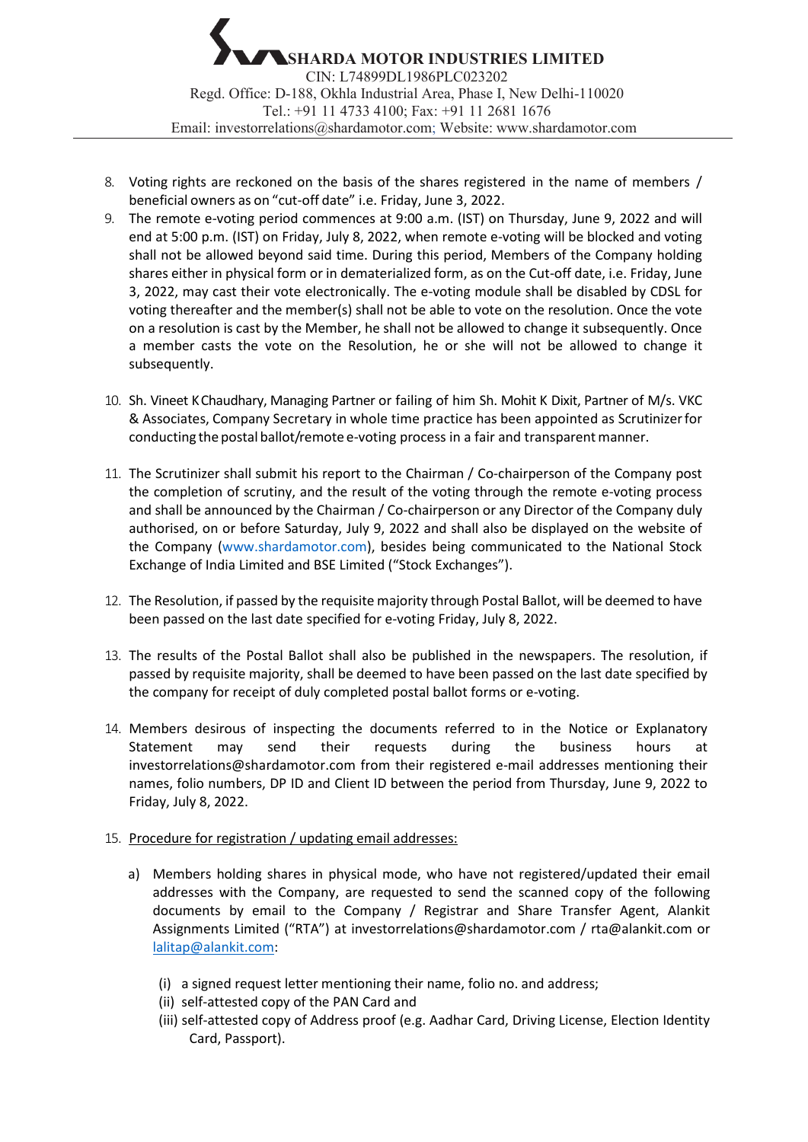- 8. Voting rights are reckoned on the basis of the shares registered in the name of members / beneficial owners as on "cut-off date" i.e. Friday, June 3, 2022.
- 9. The remote e-voting period commences at 9:00 a.m. (IST) on Thursday, June 9, 2022 and will end at 5:00 p.m. (IST) on Friday, July 8, 2022, when remote e-voting will be blocked and voting shall not be allowed beyond said time. During this period, Members of the Company holding shares either in physical form or in dematerialized form, as on the Cut-off date, i.e. Friday, June 3, 2022, may cast their vote electronically. The e-voting module shall be disabled by CDSL for voting thereafter and the member(s) shall not be able to vote on the resolution. Once the vote on a resolution is cast by the Member, he shall not be allowed to change it subsequently. Once a member casts the vote on the Resolution, he or she will not be allowed to change it subsequently.
- 10. Sh. Vineet K Chaudhary, Managing Partner or failing of him Sh. Mohit K Dixit, Partner of M/s. VKC & Associates, Company Secretary in whole time practice has been appointed as Scrutinizerfor conducting the postal ballot/remote e-voting process in a fair and transparent manner.
- 11. The Scrutinizer shall submit his report to the Chairman / Co-chairperson of the Company post the completion of scrutiny, and the result of the voting through the remote e-voting process and shall be announced by the Chairman / Co-chairperson or any Director of the Company duly authorised, on or before Saturday, July 9, 2022 and shall also be displayed on the website of the Company (www.shardamotor.com), besides being communicated to the National Stock Exchange of India Limited and BSE Limited ("Stock Exchanges").
- 12. The Resolution, if passed by the requisite majority through Postal Ballot, will be deemed to have been passed on the last date specified for e-voting Friday, July 8, 2022.
- 13. The results of the Postal Ballot shall also be published in the newspapers. The resolution, if passed by requisite majority, shall be deemed to have been passed on the last date specified by the company for receipt of duly completed postal ballot forms or e-voting.
- 14. Members desirous of inspecting the documents referred to in the Notice or Explanatory Statement may send their requests during the business hours at investorrelations@shardamotor.com from their registered e-mail addresses mentioning their names, folio numbers, DP ID and Client ID between the period from Thursday, June 9, 2022 to Friday, July 8, 2022.
- 15. Procedure for registration / updating email addresses:
	- a) Members holding shares in physical mode, who have not registered/updated their email addresses with the Company, are requested to send the scanned copy of the following documents by email to the Company / Registrar and Share Transfer Agent, Alankit Assignments Limited ("RTA") at investorrelations@shardamotor.com / [rta@alankit.com](mailto:rta@alankit.com) or [lalitap@alankit.com:](mailto:lalitap@alankit.com)
		- (i) a signed request letter mentioning their name, folio no. and address;
		- (ii) self-attested copy of the PAN Card and
		- (iii) self-attested copy of Address proof (e.g. Aadhar Card, Driving License, Election Identity Card, Passport).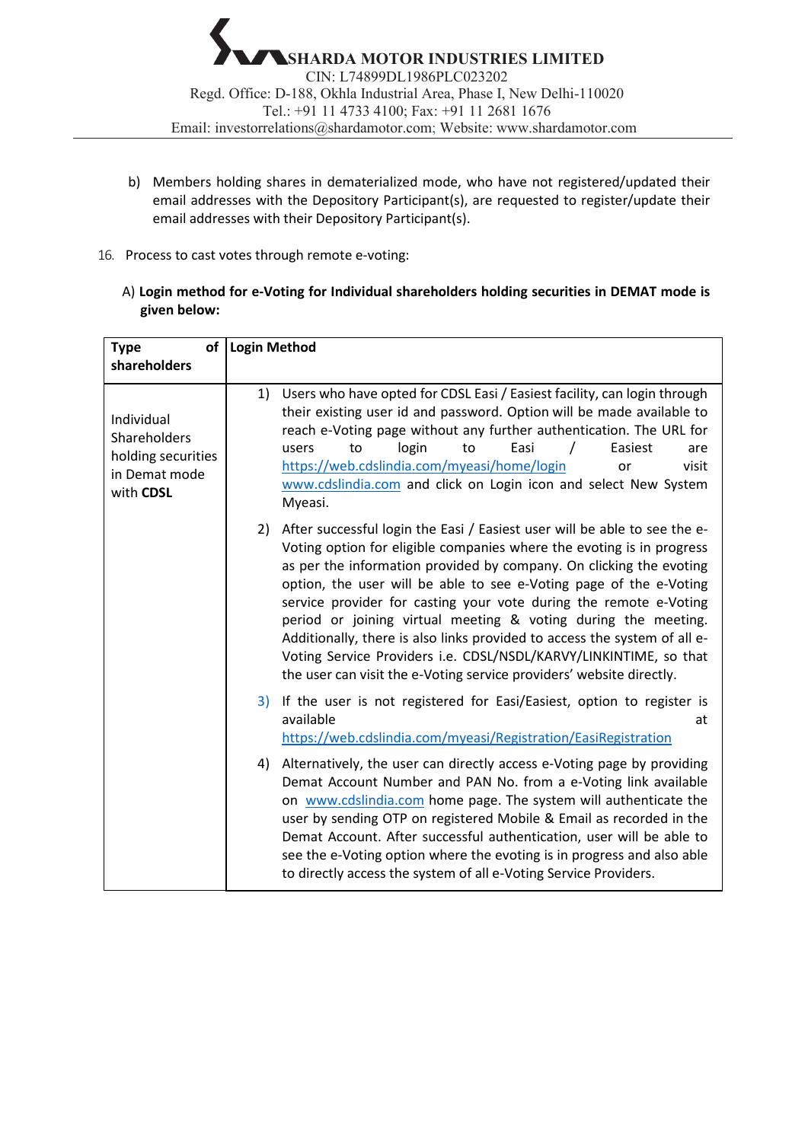- b) Members holding shares in dematerialized mode, who have not registered/updated their email addresses with the Depository Participant(s), are requested to register/update their email addresses with their Depository Participant(s).
- 16. Process to cast votes through remote e-voting:
	- A) **Login method for e-Voting for Individual shareholders holding securities in DEMAT mode is given below:**

| of I<br><b>Type</b>                                                            | <b>Login Method</b>                                                                                                                                                                                                                                                                                                                                                                                                                                                                                                                                                                                                                                                    |  |
|--------------------------------------------------------------------------------|------------------------------------------------------------------------------------------------------------------------------------------------------------------------------------------------------------------------------------------------------------------------------------------------------------------------------------------------------------------------------------------------------------------------------------------------------------------------------------------------------------------------------------------------------------------------------------------------------------------------------------------------------------------------|--|
| shareholders                                                                   |                                                                                                                                                                                                                                                                                                                                                                                                                                                                                                                                                                                                                                                                        |  |
| Individual<br>Shareholders<br>holding securities<br>in Demat mode<br>with CDSL | Users who have opted for CDSL Easi / Easiest facility, can login through<br>1)<br>their existing user id and password. Option will be made available to<br>reach e-Voting page without any further authentication. The URL for<br>login<br>Easi<br>Easiest<br>users<br>to<br>to<br>are<br>https://web.cdslindia.com/myeasi/home/login<br>visit<br>or<br>www.cdslindia.com and click on Login icon and select New System<br>Myeasi.                                                                                                                                                                                                                                     |  |
|                                                                                | After successful login the Easi / Easiest user will be able to see the e-<br>2)<br>Voting option for eligible companies where the evoting is in progress<br>as per the information provided by company. On clicking the evoting<br>option, the user will be able to see e-Voting page of the e-Voting<br>service provider for casting your vote during the remote e-Voting<br>period or joining virtual meeting & voting during the meeting.<br>Additionally, there is also links provided to access the system of all e-<br>Voting Service Providers i.e. CDSL/NSDL/KARVY/LINKINTIME, so that<br>the user can visit the e-Voting service providers' website directly. |  |
|                                                                                | 3) If the user is not registered for Easi/Easiest, option to register is<br>available<br>at<br>https://web.cdslindia.com/myeasi/Registration/EasiRegistration                                                                                                                                                                                                                                                                                                                                                                                                                                                                                                          |  |
|                                                                                | Alternatively, the user can directly access e-Voting page by providing<br>4)<br>Demat Account Number and PAN No. from a e-Voting link available<br>on www.cdslindia.com home page. The system will authenticate the<br>user by sending OTP on registered Mobile & Email as recorded in the<br>Demat Account. After successful authentication, user will be able to<br>see the e-Voting option where the evoting is in progress and also able<br>to directly access the system of all e-Voting Service Providers.                                                                                                                                                       |  |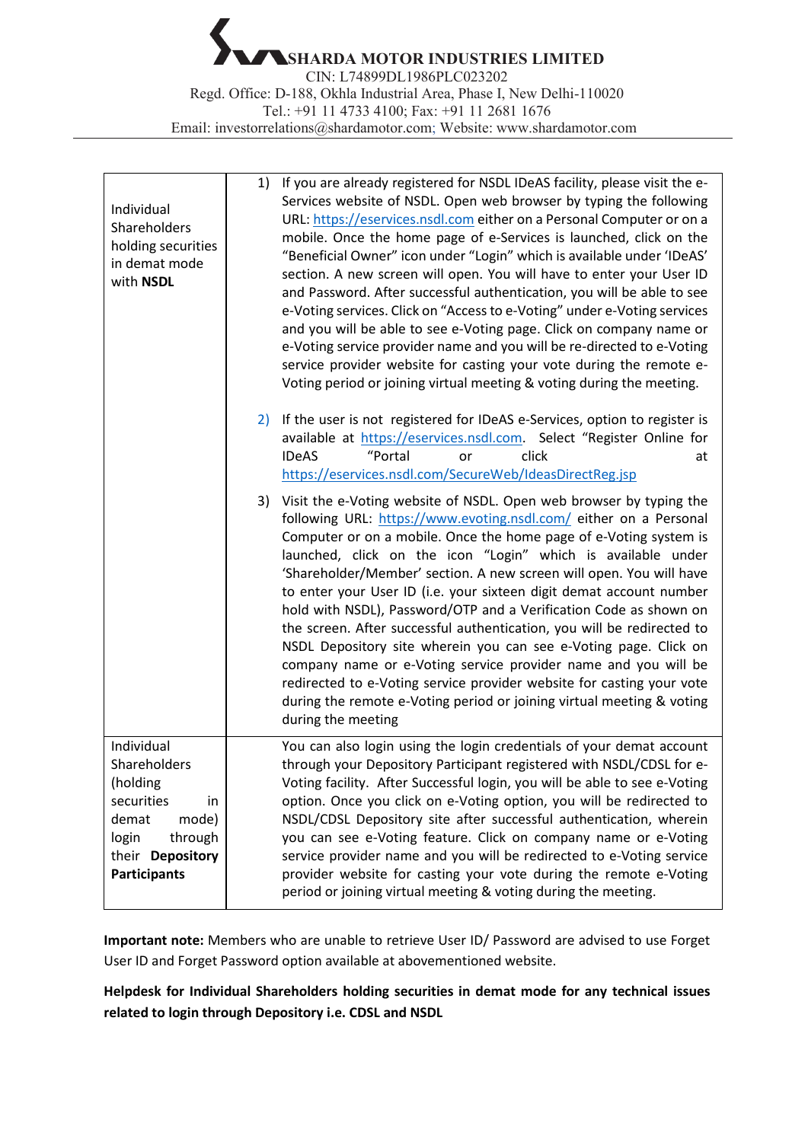**SHARDA MOTOR INDUSTRIES LIMITED** CIN: L74899DL1986PLC023202 Regd. Office: D-188, Okhla Industrial Area, Phase I, New Delhi-110020 Tel.: +91 11 4733 4100; Fax: +91 11 2681 1676 Email: [investorrelations@shardamotor.com;](mailto:investorrelations@shardamotor.com) Website: [www.shardamotor.com](http://www.shardamotor.com/)

| Individual<br>Shareholders<br>holding securities<br>in demat mode<br>with NSDL                                                              | If you are already registered for NSDL IDeAS facility, please visit the e-<br>1)<br>Services website of NSDL. Open web browser by typing the following<br>URL: https://eservices.nsdl.com either on a Personal Computer or on a<br>mobile. Once the home page of e-Services is launched, click on the<br>"Beneficial Owner" icon under "Login" which is available under 'IDeAS'<br>section. A new screen will open. You will have to enter your User ID<br>and Password. After successful authentication, you will be able to see<br>e-Voting services. Click on "Access to e-Voting" under e-Voting services<br>and you will be able to see e-Voting page. Click on company name or<br>e-Voting service provider name and you will be re-directed to e-Voting<br>service provider website for casting your vote during the remote e-<br>Voting period or joining virtual meeting & voting during the meeting. |
|---------------------------------------------------------------------------------------------------------------------------------------------|----------------------------------------------------------------------------------------------------------------------------------------------------------------------------------------------------------------------------------------------------------------------------------------------------------------------------------------------------------------------------------------------------------------------------------------------------------------------------------------------------------------------------------------------------------------------------------------------------------------------------------------------------------------------------------------------------------------------------------------------------------------------------------------------------------------------------------------------------------------------------------------------------------------|
|                                                                                                                                             | 2) If the user is not registered for IDeAS e-Services, option to register is<br>available at https://eservices.nsdl.com. Select "Register Online for<br>"Portal<br>click<br><b>IDeAS</b><br>or<br>at<br>https://eservices.nsdl.com/SecureWeb/IdeasDirectReg.jsp                                                                                                                                                                                                                                                                                                                                                                                                                                                                                                                                                                                                                                                |
|                                                                                                                                             | 3) Visit the e-Voting website of NSDL. Open web browser by typing the<br>following URL: https://www.evoting.nsdl.com/ either on a Personal<br>Computer or on a mobile. Once the home page of e-Voting system is<br>launched, click on the icon "Login" which is available under<br>'Shareholder/Member' section. A new screen will open. You will have<br>to enter your User ID (i.e. your sixteen digit demat account number<br>hold with NSDL), Password/OTP and a Verification Code as shown on<br>the screen. After successful authentication, you will be redirected to<br>NSDL Depository site wherein you can see e-Voting page. Click on<br>company name or e-Voting service provider name and you will be<br>redirected to e-Voting service provider website for casting your vote<br>during the remote e-Voting period or joining virtual meeting & voting<br>during the meeting                     |
| Individual<br>Shareholders<br>(holding<br>securities<br>in<br>demat<br>mode)<br>through<br>login<br>their Depository<br><b>Participants</b> | You can also login using the login credentials of your demat account<br>through your Depository Participant registered with NSDL/CDSL for e-<br>Voting facility. After Successful login, you will be able to see e-Voting<br>option. Once you click on e-Voting option, you will be redirected to<br>NSDL/CDSL Depository site after successful authentication, wherein<br>you can see e-Voting feature. Click on company name or e-Voting<br>service provider name and you will be redirected to e-Voting service<br>provider website for casting your vote during the remote e-Voting<br>period or joining virtual meeting & voting during the meeting.                                                                                                                                                                                                                                                      |

**Important note:** Members who are unable to retrieve User ID/ Password are advised to use Forget User ID and Forget Password option available at abovementioned website.

**Helpdesk for Individual Shareholders holding securities in demat mode for any technical issues related to login through Depository i.e. CDSL and NSDL**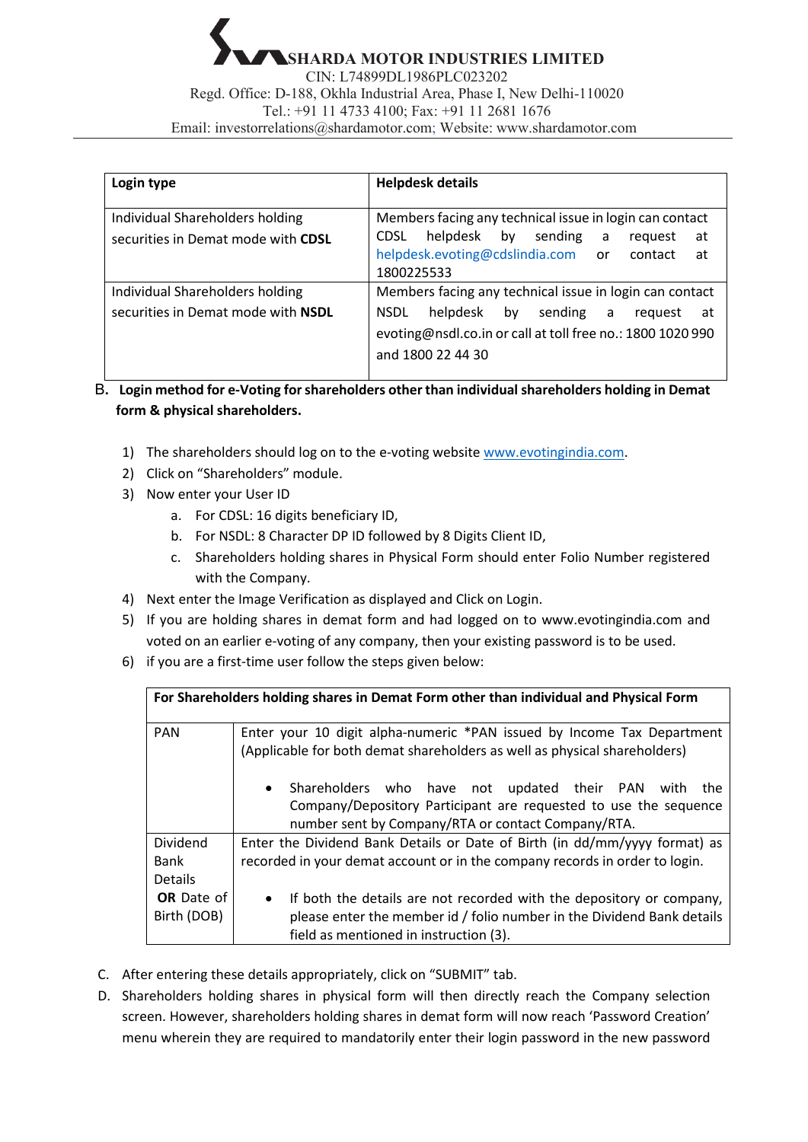| Login type                                                            | <b>Helpdesk details</b>                                                                                                                     |  |  |
|-----------------------------------------------------------------------|---------------------------------------------------------------------------------------------------------------------------------------------|--|--|
| Individual Shareholders holding<br>securities in Demat mode with CDSL | Members facing any technical issue in login can contact<br>helpdesk by sending<br><b>CDSL</b><br>$\overline{a}$<br>at<br>request            |  |  |
|                                                                       | helpdesk.evoting@cdslindia.com or contact<br>at<br>1800225533                                                                               |  |  |
| Individual Shareholders holding                                       | Members facing any technical issue in login can contact                                                                                     |  |  |
| securities in Demat mode with NSDL                                    | helpdesk<br>by sending a<br><b>NSDL</b><br>reguest<br>at<br>evoting@nsdl.co.in or call at toll free no.: 1800 1020 990<br>and 1800 22 44 30 |  |  |

B**. Login method for e-Voting for shareholders other than individual shareholders holding in Demat form & physical shareholders.**

- 1) The shareholders should log on to the e-voting website [www.evotingindia.com.](http://www.evotingindia.com/)
- 2) Click on "Shareholders" module.
- 3) Now enter your User ID
	- a. For CDSL: 16 digits beneficiary ID,
	- b. For NSDL: 8 Character DP ID followed by 8 Digits Client ID,
	- c. Shareholders holding shares in Physical Form should enter Folio Number registered with the Company.
- 4) Next enter the Image Verification as displayed and Click on Login.
- 5) If you are holding shares in demat form and had logged on to [www.evotingindia.com](http://www.evotingindia.com/) and voted on an earlier e-voting of any company, then your existing password is to be used.
- 6) if you are a first-time user follow the steps given below:

| For Shareholders holding shares in Demat Form other than individual and Physical Form |                                                                                                                                                                                                       |  |  |
|---------------------------------------------------------------------------------------|-------------------------------------------------------------------------------------------------------------------------------------------------------------------------------------------------------|--|--|
| <b>PAN</b>                                                                            | Enter your 10 digit alpha-numeric *PAN issued by Income Tax Department<br>(Applicable for both demat shareholders as well as physical shareholders)                                                   |  |  |
|                                                                                       | Shareholders who have not updated their PAN with the<br>$\bullet$<br>Company/Depository Participant are requested to use the sequence<br>number sent by Company/RTA or contact Company/RTA.           |  |  |
| <b>Dividend</b><br>Bank<br><b>Details</b>                                             | Enter the Dividend Bank Details or Date of Birth (in dd/mm/yyyy format) as<br>recorded in your demat account or in the company records in order to login.                                             |  |  |
| <b>OR</b> Date of<br>Birth (DOB)                                                      | If both the details are not recorded with the depository or company,<br>$\bullet$<br>please enter the member id / folio number in the Dividend Bank details<br>field as mentioned in instruction (3). |  |  |

- C. After entering these details appropriately, click on "SUBMIT" tab.
- D. Shareholders holding shares in physical form will then directly reach the Company selection screen. However, shareholders holding shares in demat form will now reach 'Password Creation' menu wherein they are required to mandatorily enter their login password in the new password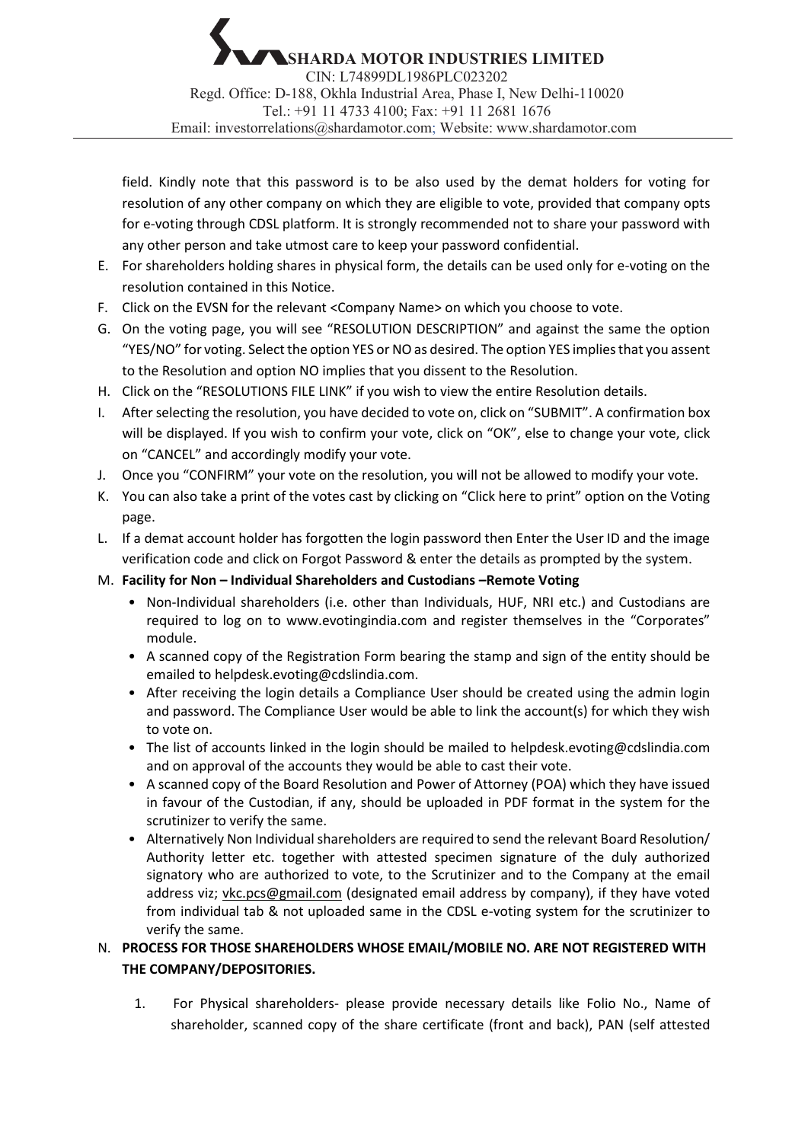field. Kindly note that this password is to be also used by the demat holders for voting for resolution of any other company on which they are eligible to vote, provided that company opts for e-voting through CDSL platform. It is strongly recommended not to share your password with any other person and take utmost care to keep your password confidential.

- E. For shareholders holding shares in physical form, the details can be used only for e-voting on the resolution contained in this Notice.
- F. Click on the EVSN for the relevant <Company Name> on which you choose to vote.
- G. On the voting page, you will see "RESOLUTION DESCRIPTION" and against the same the option "YES/NO" for voting. Select the option YES or NO as desired. The option YES impliesthat you assent to the Resolution and option NO implies that you dissent to the Resolution.
- H. Click on the "RESOLUTIONS FILE LINK" if you wish to view the entire Resolution details.
- I. After selecting the resolution, you have decided to vote on, click on "SUBMIT". A confirmation box will be displayed. If you wish to confirm your vote, click on "OK", else to change your vote, click on "CANCEL" and accordingly modify your vote.
- J. Once you "CONFIRM" your vote on the resolution, you will not be allowed to modify your vote.
- K. You can also take a print of the votes cast by clicking on "Click here to print" option on the Voting page.
- L. If a demat account holder has forgotten the login password then Enter the User ID and the image verification code and click on Forgot Password & enter the details as prompted by the system.
- M. **Facility for Non Individual Shareholders and Custodians –Remote Voting**
	- Non-Individual shareholders (i.e. other than Individuals, HUF, NRI etc.) and Custodians are required to log on to www.evotingindia.com and register themselves in the "Corporates" module.
	- A scanned copy of the Registration Form bearing the stamp and sign of the entity should be emailed to helpdesk.evoting@cdslindia.com.
	- After receiving the login details a Compliance User should be created using the admin login and password. The Compliance User would be able to link the account(s) for which they wish to vote on.
	- The list of accounts linked in the login should be mailed to helpdesk.evoting@cdslindia.com and on approval of the accounts they would be able to cast their vote.
	- A scanned copy of the Board Resolution and Power of Attorney (POA) which they have issued in favour of the Custodian, if any, should be uploaded in PDF format in the system for the scrutinizer to verify the same.
	- Alternatively Non Individual shareholders are required to send the relevant Board Resolution/ Authority letter etc. together with attested specimen signature of the duly authorized signatory who are authorized to vote, to the Scrutinizer and to the Company at the email address viz; vkc.pcs@gmail.com (designated email address by company), if they have voted from individual tab & not uploaded same in the CDSL e-voting system for the scrutinizer to verify the same.

# N. **PROCESS FOR THOSE SHAREHOLDERS WHOSE EMAIL/MOBILE NO. ARE NOT REGISTERED WITH THE COMPANY/DEPOSITORIES.**

1. For Physical shareholders- please provide necessary details like Folio No., Name of shareholder, scanned copy of the share certificate (front and back), PAN (self attested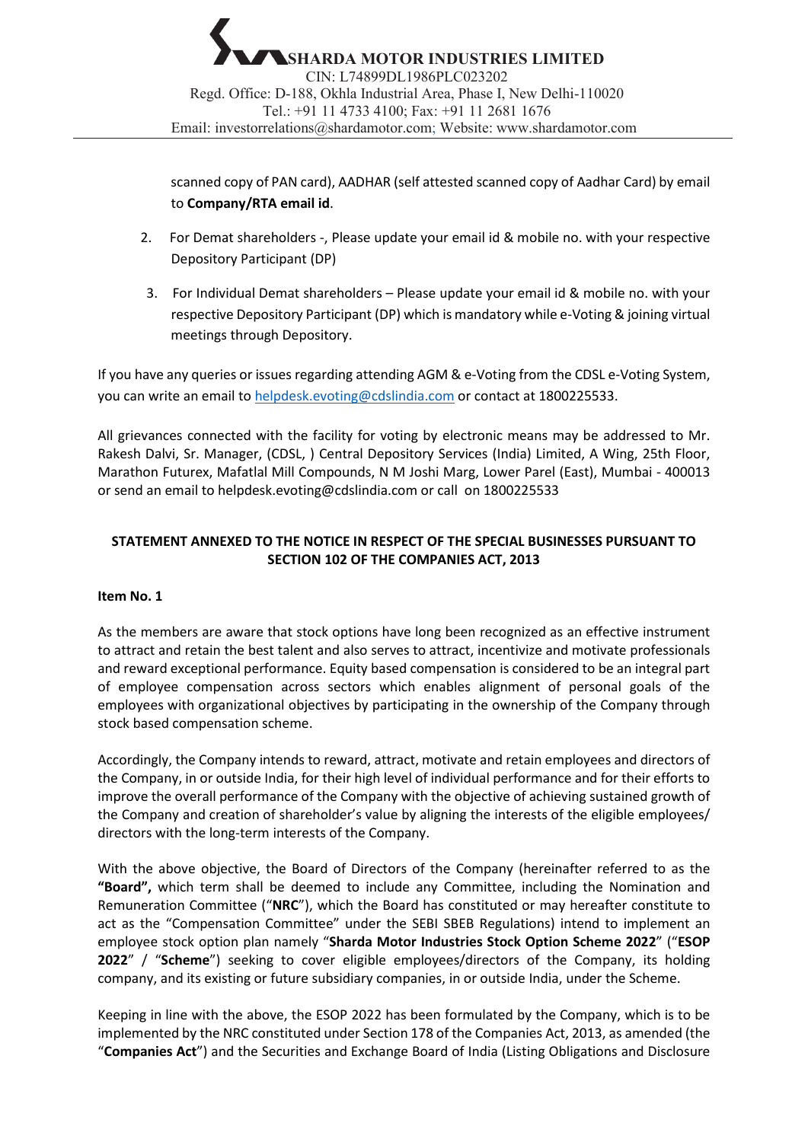scanned copy of PAN card), AADHAR (self attested scanned copy of Aadhar Card) by email to **Company/RTA email id**.

- 2. For Demat shareholders -, Please update your email id & mobile no. with your respective Depository Participant (DP)
- 3. For Individual Demat shareholders Please update your email id & mobile no. with your respective Depository Participant (DP) which is mandatory while e-Voting & joining virtual meetings through Depository.

If you have any queries or issues regarding attending AGM & e-Voting from the CDSL e-Voting System, you can write an email t[o helpdesk.evoting@cdslindia.com](mailto:helpdesk.evoting@cdslindia.com) or contact at 1800225533.

All grievances connected with the facility for voting by electronic means may be addressed to Mr. Rakesh Dalvi, Sr. Manager, (CDSL, ) Central Depository Services (India) Limited, A Wing, 25th Floor, Marathon Futurex, Mafatlal Mill Compounds, N M Joshi Marg, Lower Parel (East), Mumbai - 400013 or send an email to helpdesk.evoting@cdslindia.com or call on 1800225533

## **STATEMENT ANNEXED TO THE NOTICE IN RESPECT OF THE SPECIAL BUSINESSES PURSUANT TO SECTION 102 OF THE COMPANIES ACT, 2013**

#### **Item No. 1**

As the members are aware that stock options have long been recognized as an effective instrument to attract and retain the best talent and also serves to attract, incentivize and motivate professionals and reward exceptional performance. Equity based compensation is considered to be an integral part of employee compensation across sectors which enables alignment of personal goals of the employees with organizational objectives by participating in the ownership of the Company through stock based compensation scheme.

Accordingly, the Company intends to reward, attract, motivate and retain employees and directors of the Company, in or outside India, for their high level of individual performance and for their efforts to improve the overall performance of the Company with the objective of achieving sustained growth of the Company and creation of shareholder's value by aligning the interests of the eligible employees/ directors with the long-term interests of the Company.

With the above objective, the Board of Directors of the Company (hereinafter referred to as the **"Board",** which term shall be deemed to include any Committee, including the Nomination and Remuneration Committee ("**NRC**"), which the Board has constituted or may hereafter constitute to act as the "Compensation Committee" under the SEBI SBEB Regulations) intend to implement an employee stock option plan namely "**Sharda Motor Industries Stock Option Scheme 2022**" ("**ESOP 2022**" / "**Scheme**") seeking to cover eligible employees/directors of the Company, its holding company, and its existing or future subsidiary companies, in or outside India, under the Scheme.

Keeping in line with the above, the ESOP 2022 has been formulated by the Company, which is to be implemented by the NRC constituted under Section 178 of the Companies Act, 2013, as amended (the "**Companies Act**") and the Securities and Exchange Board of India (Listing Obligations and Disclosure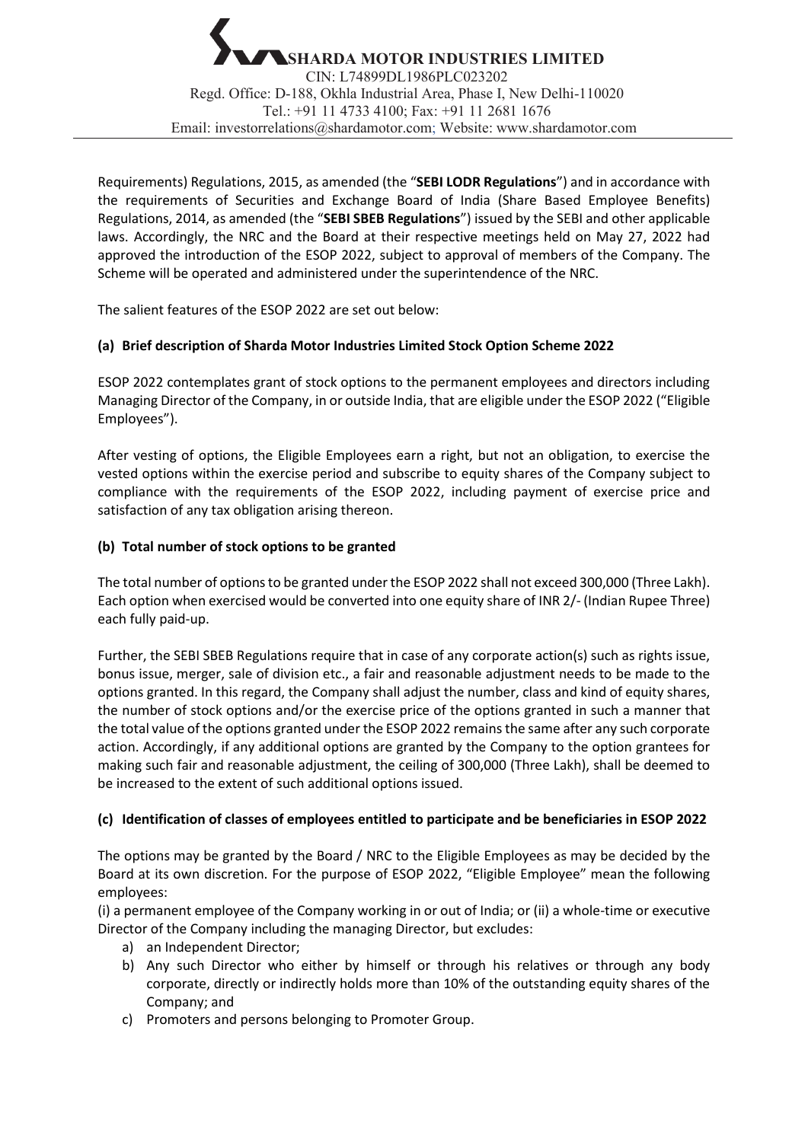Requirements) Regulations, 2015, as amended (the "**SEBI LODR Regulations**") and in accordance with the requirements of Securities and Exchange Board of India (Share Based Employee Benefits) Regulations, 2014, as amended (the "**SEBI SBEB Regulations**") issued by the SEBI and other applicable laws. Accordingly, the NRC and the Board at their respective meetings held on May 27, 2022 had approved the introduction of the ESOP 2022, subject to approval of members of the Company. The Scheme will be operated and administered under the superintendence of the NRC.

The salient features of the ESOP 2022 are set out below:

## **(a) Brief description of Sharda Motor Industries Limited Stock Option Scheme 2022**

ESOP 2022 contemplates grant of stock options to the permanent employees and directors including Managing Director of the Company, in or outside India, that are eligible under the ESOP 2022 ("Eligible Employees").

After vesting of options, the Eligible Employees earn a right, but not an obligation, to exercise the vested options within the exercise period and subscribe to equity shares of the Company subject to compliance with the requirements of the ESOP 2022, including payment of exercise price and satisfaction of any tax obligation arising thereon.

## **(b) Total number of stock options to be granted**

The total number of options to be granted under the ESOP 2022 shall not exceed 300,000 (Three Lakh). Each option when exercised would be converted into one equity share of INR 2/- (Indian Rupee Three) each fully paid-up.

Further, the SEBI SBEB Regulations require that in case of any corporate action(s) such as rights issue, bonus issue, merger, sale of division etc., a fair and reasonable adjustment needs to be made to the options granted. In this regard, the Company shall adjust the number, class and kind of equity shares, the number of stock options and/or the exercise price of the options granted in such a manner that the total value of the options granted under the ESOP 2022 remains the same after any such corporate action. Accordingly, if any additional options are granted by the Company to the option grantees for making such fair and reasonable adjustment, the ceiling of 300,000 (Three Lakh), shall be deemed to be increased to the extent of such additional options issued.

## **(c) Identification of classes of employees entitled to participate and be beneficiaries in ESOP 2022**

The options may be granted by the Board / NRC to the Eligible Employees as may be decided by the Board at its own discretion. For the purpose of ESOP 2022, "Eligible Employee" mean the following employees:

(i) a permanent employee of the Company working in or out of India; or (ii) a whole-time or executive Director of the Company including the managing Director, but excludes:

- a) an Independent Director;
- b) Any such Director who either by himself or through his relatives or through any body corporate, directly or indirectly holds more than 10% of the outstanding equity shares of the Company; and
- c) Promoters and persons belonging to Promoter Group.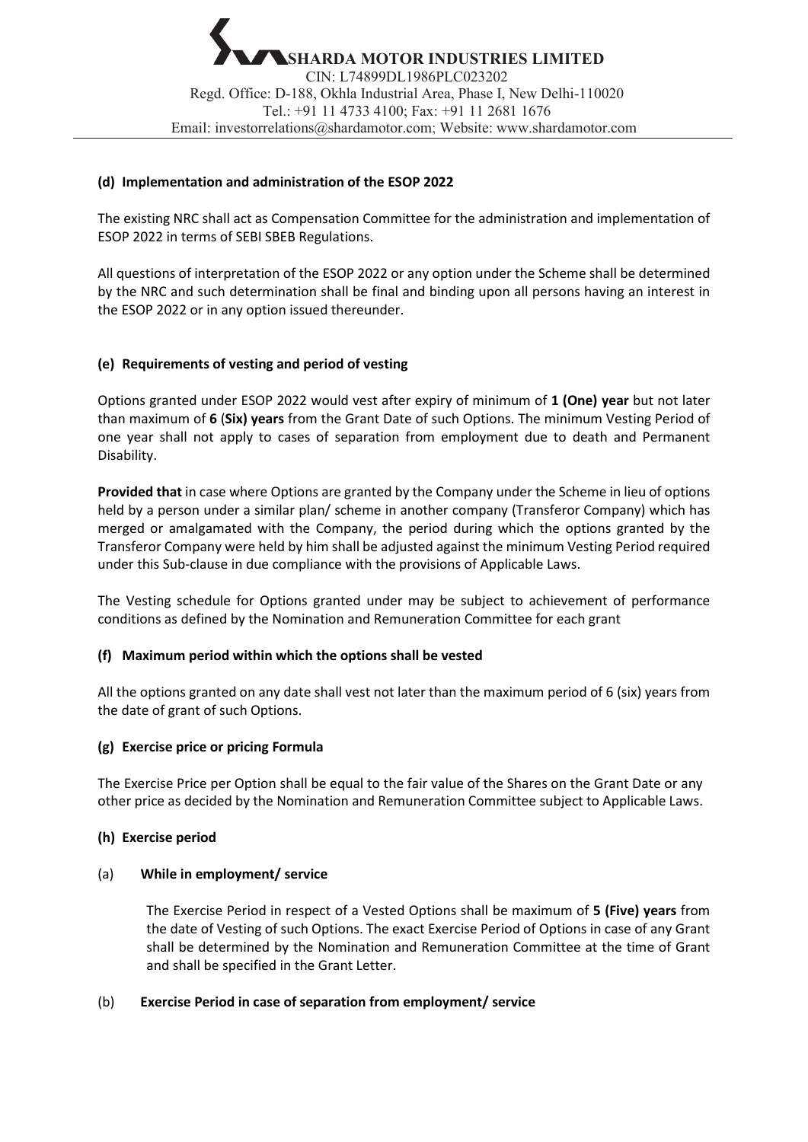## **(d) Implementation and administration of the ESOP 2022**

The existing NRC shall act as Compensation Committee for the administration and implementation of ESOP 2022 in terms of SEBI SBEB Regulations.

All questions of interpretation of the ESOP 2022 or any option under the Scheme shall be determined by the NRC and such determination shall be final and binding upon all persons having an interest in the ESOP 2022 or in any option issued thereunder.

## **(e) Requirements of vesting and period of vesting**

Options granted under ESOP 2022 would vest after expiry of minimum of **1 (One) year** but not later than maximum of **6** (**Six) years** from the Grant Date of such Options. The minimum Vesting Period of one year shall not apply to cases of separation from employment due to death and Permanent Disability.

**Provided that** in case where Options are granted by the Company under the Scheme in lieu of options held by a person under a similar plan/ scheme in another company (Transferor Company) which has merged or amalgamated with the Company, the period during which the options granted by the Transferor Company were held by him shall be adjusted against the minimum Vesting Period required under this Sub-clause in due compliance with the provisions of Applicable Laws.

The Vesting schedule for Options granted under may be subject to achievement of performance conditions as defined by the Nomination and Remuneration Committee for each grant

#### **(f) Maximum period within which the options shall be vested**

All the options granted on any date shall vest not later than the maximum period of 6 (six) years from the date of grant of such Options.

#### **(g) Exercise price or pricing Formula**

The Exercise Price per Option shall be equal to the fair value of the Shares on the Grant Date or any other price as decided by the Nomination and Remuneration Committee subject to Applicable Laws.

#### **(h) Exercise period**

#### (a) **While in employment/ service**

The Exercise Period in respect of a Vested Options shall be maximum of **5 (Five) years** from the date of Vesting of such Options. The exact Exercise Period of Options in case of any Grant shall be determined by the Nomination and Remuneration Committee at the time of Grant and shall be specified in the Grant Letter.

#### (b) **Exercise Period in case of separation from employment/ service**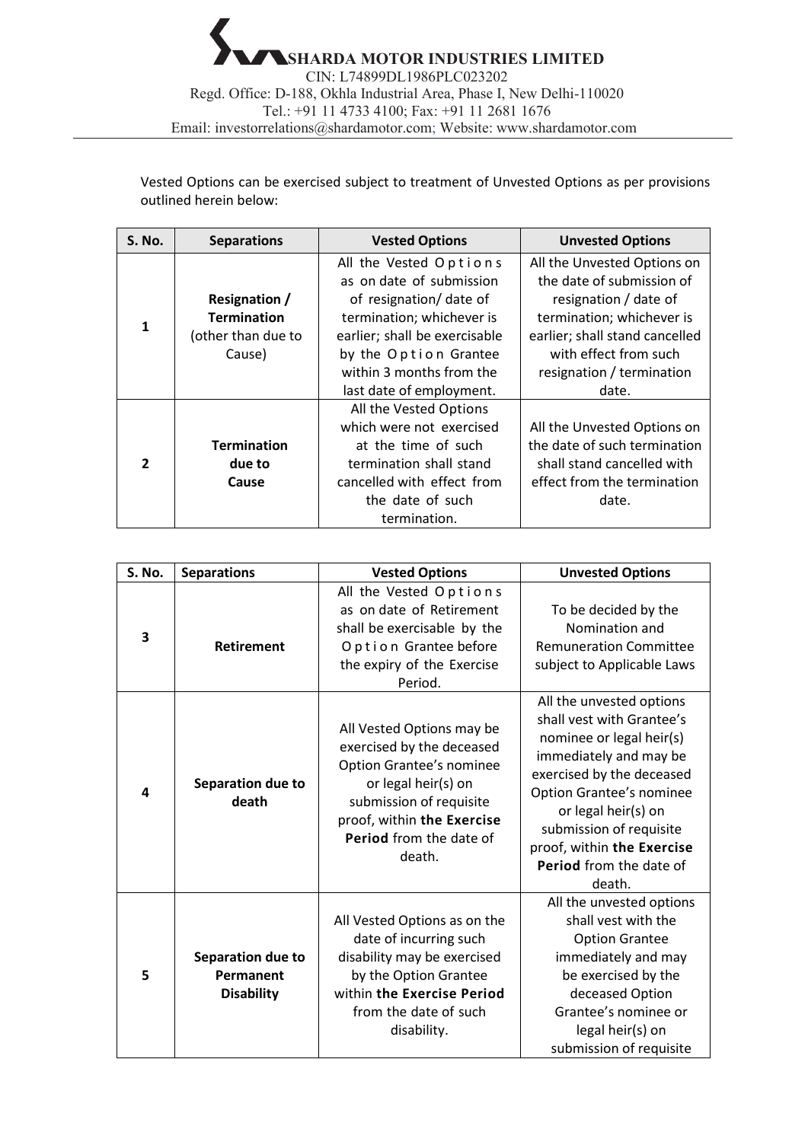Vested Options can be exercised subject to treatment of Unvested Options as per provisions outlined herein below:

| <b>S. No.</b>  | <b>Separations</b>   | <b>Vested Options</b>         | <b>Unvested Options</b>        |
|----------------|----------------------|-------------------------------|--------------------------------|
| 1              |                      | All the Vested Options        | All the Unvested Options on    |
|                |                      | as on date of submission      | the date of submission of      |
|                | <b>Resignation /</b> | of resignation/ date of       | resignation / date of          |
|                | <b>Termination</b>   | termination; whichever is     | termination; whichever is      |
|                | (other than due to   | earlier; shall be exercisable | earlier; shall stand cancelled |
|                | Cause)               | by the Option Grantee         | with effect from such          |
|                |                      | within 3 months from the      | resignation / termination      |
|                |                      | last date of employment.      | date.                          |
|                |                      | All the Vested Options        |                                |
|                |                      | which were not exercised      | All the Unvested Options on    |
|                | <b>Termination</b>   | at the time of such           | the date of such termination   |
| $\overline{2}$ | due to               | termination shall stand       | shall stand cancelled with     |
|                | Cause                | cancelled with effect from    | effect from the termination    |
|                |                      | the date of such              | date.                          |
|                |                      | termination.                  |                                |

| S. No. | <b>Separations</b>                                  | <b>Vested Options</b>                                                                                                                                                                                   | <b>Unvested Options</b>                                                                                                                                                                                                                                                                                 |
|--------|-----------------------------------------------------|---------------------------------------------------------------------------------------------------------------------------------------------------------------------------------------------------------|---------------------------------------------------------------------------------------------------------------------------------------------------------------------------------------------------------------------------------------------------------------------------------------------------------|
| 3      | <b>Retirement</b>                                   | All the Vested Options<br>as on date of Retirement<br>shall be exercisable by the<br>Option Grantee before<br>the expiry of the Exercise<br>Period.                                                     | To be decided by the<br>Nomination and<br><b>Remuneration Committee</b><br>subject to Applicable Laws                                                                                                                                                                                                   |
| 4      | Separation due to<br>death                          | All Vested Options may be<br>exercised by the deceased<br>Option Grantee's nominee<br>or legal heir(s) on<br>submission of requisite<br>proof, within the Exercise<br>Period from the date of<br>death. | All the unvested options<br>shall vest with Grantee's<br>nominee or legal heir(s)<br>immediately and may be<br>exercised by the deceased<br><b>Option Grantee's nominee</b><br>or legal heir(s) on<br>submission of requisite<br>proof, within the Exercise<br><b>Period</b> from the date of<br>death. |
| 5      | Separation due to<br>Permanent<br><b>Disability</b> | All Vested Options as on the<br>date of incurring such<br>disability may be exercised<br>by the Option Grantee<br>within the Exercise Period<br>from the date of such<br>disability.                    | All the unvested options<br>shall vest with the<br><b>Option Grantee</b><br>immediately and may<br>be exercised by the<br>deceased Option<br>Grantee's nominee or<br>legal heir(s) on<br>submission of requisite                                                                                        |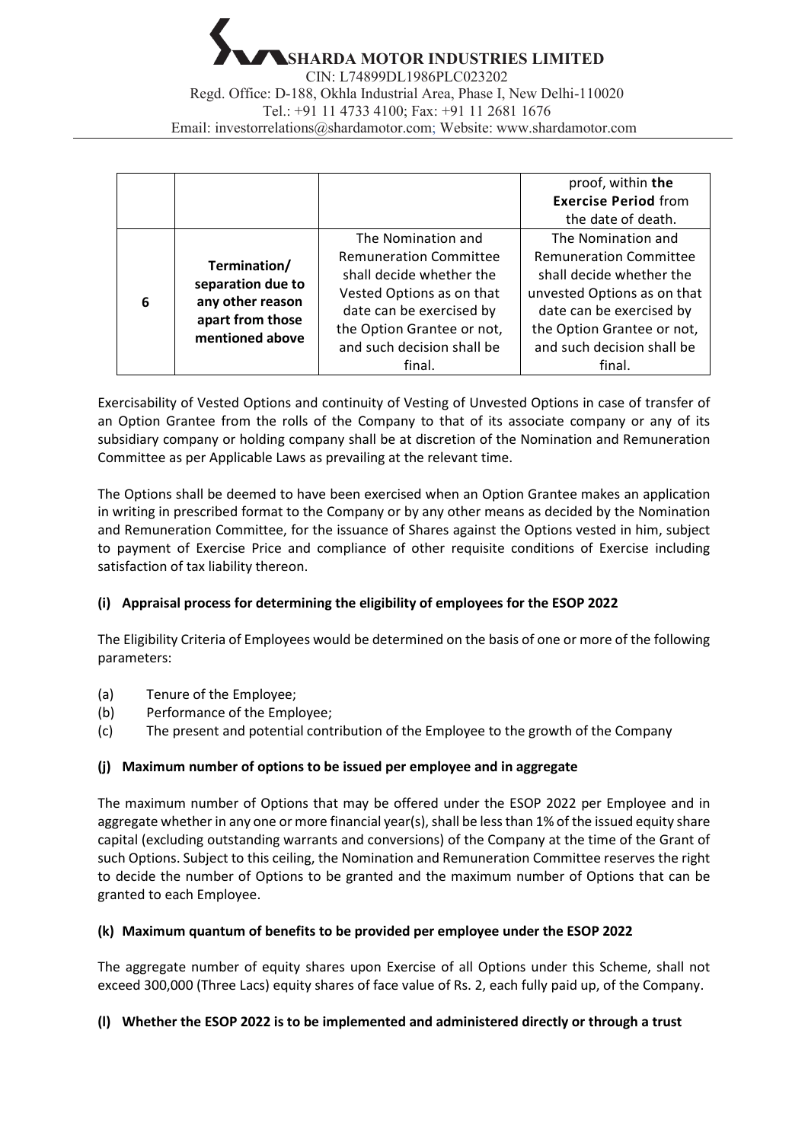**SHARDA MOTOR INDUSTRIES LIMITED** CIN: L74899DL1986PLC023202 Regd. Office: D-188, Okhla Industrial Area, Phase I, New Delhi-110020 Tel.: +91 11 4733 4100; Fax: +91 11 2681 1676 Email: [investorrelations@shardamotor.com;](mailto:investorrelations@shardamotor.com) Website: [www.shardamotor.com](http://www.shardamotor.com/)

|   |                                       |                               | proof, within the             |
|---|---------------------------------------|-------------------------------|-------------------------------|
|   |                                       |                               | <b>Exercise Period from</b>   |
|   |                                       |                               | the date of death.            |
|   |                                       | The Nomination and            | The Nomination and            |
| 6 | Termination/                          | <b>Remuneration Committee</b> | <b>Remuneration Committee</b> |
|   | separation due to<br>any other reason | shall decide whether the      | shall decide whether the      |
|   |                                       | Vested Options as on that     | unvested Options as on that   |
|   | apart from those                      | date can be exercised by      | date can be exercised by      |
|   | mentioned above                       | the Option Grantee or not,    | the Option Grantee or not,    |
|   |                                       | and such decision shall be    | and such decision shall be    |
|   |                                       | final.                        | final.                        |

Exercisability of Vested Options and continuity of Vesting of Unvested Options in case of transfer of an Option Grantee from the rolls of the Company to that of its associate company or any of its subsidiary company or holding company shall be at discretion of the Nomination and Remuneration Committee as per Applicable Laws as prevailing at the relevant time.

The Options shall be deemed to have been exercised when an Option Grantee makes an application in writing in prescribed format to the Company or by any other means as decided by the Nomination and Remuneration Committee, for the issuance of Shares against the Options vested in him, subject to payment of Exercise Price and compliance of other requisite conditions of Exercise including satisfaction of tax liability thereon.

## **(i) Appraisal process for determining the eligibility of employees for the ESOP 2022**

The Eligibility Criteria of Employees would be determined on the basis of one or more of the following parameters:

- (a) Tenure of the Employee;
- (b) Performance of the Employee;
- (c) The present and potential contribution of the Employee to the growth of the Company

## **(j) Maximum number of options to be issued per employee and in aggregate**

The maximum number of Options that may be offered under the ESOP 2022 per Employee and in aggregate whether in any one or more financial year(s), shall be less than 1% of the issued equity share capital (excluding outstanding warrants and conversions) of the Company at the time of the Grant of such Options. Subject to this ceiling, the Nomination and Remuneration Committee reserves the right to decide the number of Options to be granted and the maximum number of Options that can be granted to each Employee.

## **(k) Maximum quantum of benefits to be provided per employee under the ESOP 2022**

The aggregate number of equity shares upon Exercise of all Options under this Scheme, shall not exceed 300,000 (Three Lacs) equity shares of face value of Rs. 2, each fully paid up, of the Company.

## **(l) Whether the ESOP 2022 is to be implemented and administered directly or through a trust**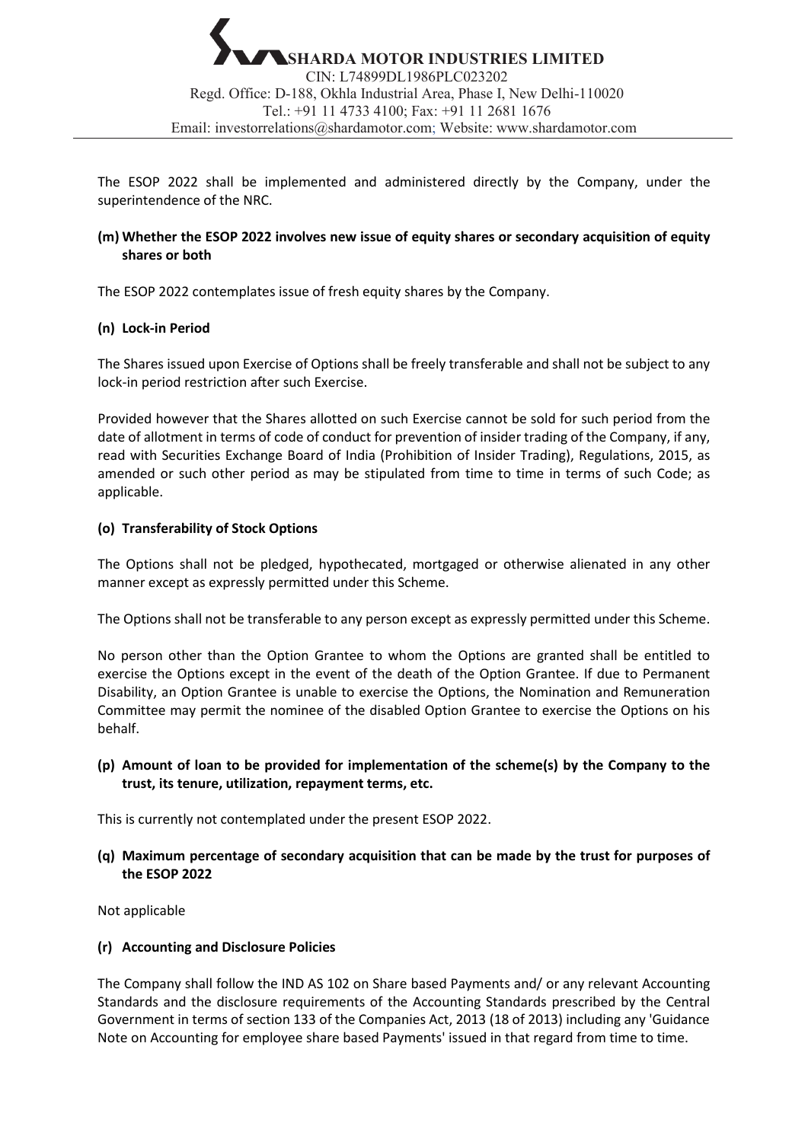The ESOP 2022 shall be implemented and administered directly by the Company, under the superintendence of the NRC.

### **(m) Whether the ESOP 2022 involves new issue of equity shares or secondary acquisition of equity shares or both**

The ESOP 2022 contemplates issue of fresh equity shares by the Company.

### **(n) Lock-in Period**

The Shares issued upon Exercise of Options shall be freely transferable and shall not be subject to any lock-in period restriction after such Exercise.

Provided however that the Shares allotted on such Exercise cannot be sold for such period from the date of allotment in terms of code of conduct for prevention of insider trading of the Company, if any, read with Securities Exchange Board of India (Prohibition of Insider Trading), Regulations, 2015, as amended or such other period as may be stipulated from time to time in terms of such Code; as applicable.

### **(o) Transferability of Stock Options**

The Options shall not be pledged, hypothecated, mortgaged or otherwise alienated in any other manner except as expressly permitted under this Scheme.

The Options shall not be transferable to any person except as expressly permitted under this Scheme.

No person other than the Option Grantee to whom the Options are granted shall be entitled to exercise the Options except in the event of the death of the Option Grantee. If due to Permanent Disability, an Option Grantee is unable to exercise the Options, the Nomination and Remuneration Committee may permit the nominee of the disabled Option Grantee to exercise the Options on his behalf.

## **(p) Amount of loan to be provided for implementation of the scheme(s) by the Company to the trust, its tenure, utilization, repayment terms, etc.**

This is currently not contemplated under the present ESOP 2022.

**(q) Maximum percentage of secondary acquisition that can be made by the trust for purposes of the ESOP 2022**

Not applicable

#### **(r) Accounting and Disclosure Policies**

The Company shall follow the IND AS 102 on Share based Payments and/ or any relevant Accounting Standards and the disclosure requirements of the Accounting Standards prescribed by the Central Government in terms of section 133 of the Companies Act, 2013 (18 of 2013) including any 'Guidance Note on Accounting for employee share based Payments' issued in that regard from time to time.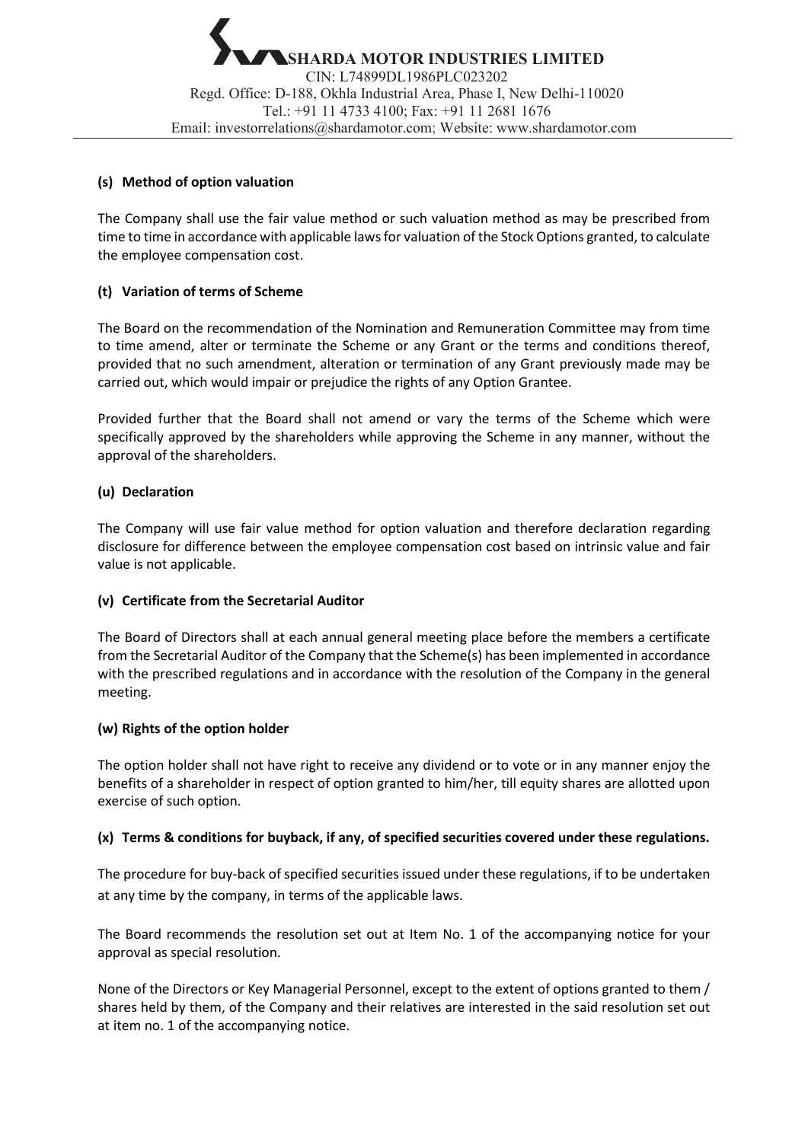### **(s) Method of option valuation**

The Company shall use the fair value method or such valuation method as may be prescribed from time to time in accordance with applicable laws for valuation of the Stock Options granted, to calculate the employee compensation cost.

### **(t) Variation of terms of Scheme**

The Board on the recommendation of the Nomination and Remuneration Committee may from time to time amend, alter or terminate the Scheme or any Grant or the terms and conditions thereof, provided that no such amendment, alteration or termination of any Grant previously made may be carried out, which would impair or prejudice the rights of any Option Grantee.

Provided further that the Board shall not amend or vary the terms of the Scheme which were specifically approved by the shareholders while approving the Scheme in any manner, without the approval of the shareholders.

### **(u) Declaration**

The Company will use fair value method for option valuation and therefore declaration regarding disclosure for difference between the employee compensation cost based on intrinsic value and fair value is not applicable.

#### **(v) Certificate from the Secretarial Auditor**

The Board of Directors shall at each annual general meeting place before the members a certificate from the Secretarial Auditor of the Company that the Scheme(s) has been implemented in accordance with the prescribed regulations and in accordance with the resolution of the Company in the general meeting.

#### **(w) Rights of the option holder**

The option holder shall not have right to receive any dividend or to vote or in any manner enjoy the benefits of a shareholder in respect of option granted to him/her, till equity shares are allotted upon exercise of such option.

#### **(x) Terms & conditions for buyback, if any, of specified securities covered under these regulations.**

The procedure for buy-back of specified securities issued under these regulations, if to be undertaken at any time by the company, in terms of the applicable laws.

The Board recommends the resolution set out at Item No. 1 of the accompanying notice for your approval as special resolution.

None of the Directors or Key Managerial Personnel, except to the extent of options granted to them / shares held by them, of the Company and their relatives are interested in the said resolution set out at item no. 1 of the accompanying notice.